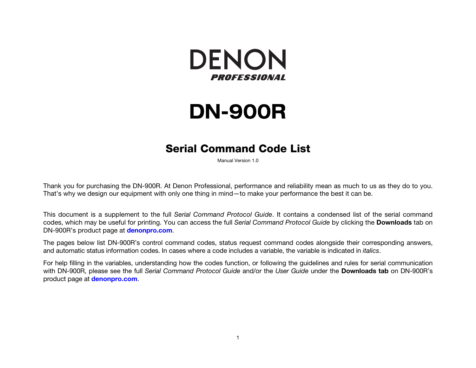

# **DN-900R**

## **Serial Command Code List**

Manual Version 1.0

Thank you for purchasing the DN-900R. At Denon Professional, performance and reliability mean as much to us as they do to you. That's why we design our equipment with only one thing in mind—to make your performance the best it can be.

This document is a supplement to the full *Serial Command Protocol Guide*. It contains a condensed list of the serial command codes, which may be useful for printing. You can access the full *Serial Command Protocol Guide* by clicking the **Downloads** tab on DN-900R's product page at **denonpro.com**.

The pages below list DN-900R's control command codes, status request command codes alongside their corresponding answers, and automatic status information codes. In cases where a code includes a variable, the variable is indicated in *italics*.

For help filling in the variables, understanding how the codes function, or following the guidelines and rules for serial communication with DN-900R, please see the full *Serial Command Protocol Guide* and/or the *User Guide* under the **Downloads tab** on DN-900R's product page at **denonpro.com**.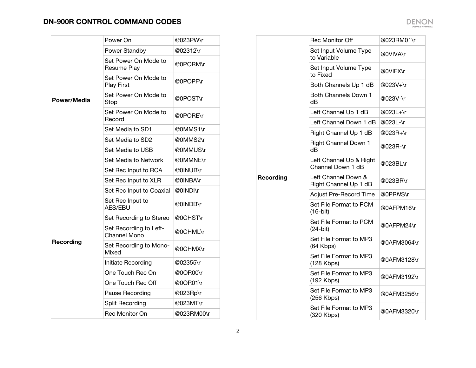| Power/Media | Power On                                      | @023PW\r   |
|-------------|-----------------------------------------------|------------|
|             | Power Standby                                 | @02312\r   |
|             | Set Power On Mode to<br>Resume Play           | @0PORM\r   |
|             | Set Power On Mode to<br><b>Play First</b>     | @0POPF\r   |
|             | Set Power On Mode to<br>Stop                  | @0POST\r   |
|             | Set Power On Mode to<br>Record                | @0PORE\r   |
|             | Set Media to SD1                              | @0MMS1\r   |
|             | Set Media to SD2                              | @0MMS2\r   |
|             | Set Media to USB                              | @0MMUS\r   |
|             | Set Media to Network                          | @0MMNE\r   |
|             | Set Rec Input to RCA                          | @0INUB\r   |
|             | Set Rec Input to XLR                          | @0INBA\r   |
|             | Set Rec Input to Coaxial                      | @0INDI\r   |
|             | Set Rec Input to<br><b>AES/EBU</b>            | @0INDB\r   |
|             | Set Recording to Stereo                       | @0CHST\r   |
|             | Set Recording to Left-<br><b>Channel Mono</b> | @0CHML\r   |
| Recording   | Set Recording to Mono-<br>Mixed               | @0CHMX\r   |
|             | Initiate Recording                            | @02355\r   |
|             | One Touch Rec On                              | @0OR00\r   |
|             | One Touch Rec Off                             | @0OR01\r   |
|             | Pause Recording                               | @023Rp\r   |
|             | Split Recording                               | @023MT\r   |
|             | Rec Monitor On                                | @023RM00\r |

|           | <b>Rec Monitor Off</b>                       | @023RM01\r  |
|-----------|----------------------------------------------|-------------|
|           | Set Input Volume Type<br>to Variable         | @0VIVA\r    |
|           | Set Input Volume Type<br>to Fixed            | @0VIFX\r    |
|           | Both Channels Up 1 dB                        | @023V+\r    |
|           | Both Channels Down 1<br>dB                   | @023V-\r    |
|           | Left Channel Up 1 dB                         | @023L+\r    |
|           | Left Channel Down 1 dB                       | @023L-\r    |
|           | Right Channel Up 1 dB                        | @023R+\r    |
|           | <b>Right Channel Down 1</b><br>dB            | @023R-\r    |
|           | Left Channel Up & Right<br>Channel Down 1 dB | @023BL\r    |
| Recording | Left Channel Down &<br>Right Channel Up 1 dB | @023BR\r    |
|           | Adjust Pre-Record Time                       | @0PRNS\r    |
|           | Set File Format to PCM<br>$(16-bit)$         | @0AFPM16\r  |
|           | Set File Format to PCM<br>$(24-bit)$         | @0AFPM24\r  |
|           | Set File Format to MP3<br>(64 Kbps)          | @0AFM3064\r |
|           | Set File Format to MP3<br>$(128$ Kbps)       | @0AFM3128\r |
|           | Set File Format to MP3<br>(192 Kbps)         | @0AFM3192\r |
|           | Set File Format to MP3<br>$(256$ Kbps)       | @0AFM3256\r |
|           | Set File Format to MP3<br>(320 Kbps)         | @0AFM3320\r |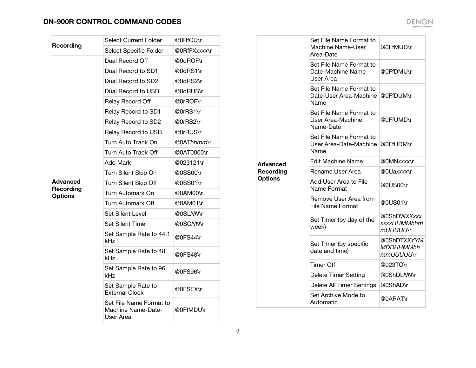| <b>Recording</b>                   | <b>Select Current Folder</b>                               | @0RfCU\r     |
|------------------------------------|------------------------------------------------------------|--------------|
|                                    | Select Specific Folder                                     | @0RfFXxxxx\r |
|                                    | Dual Record Off                                            | @0dROF\r     |
|                                    | Dual Record to SD1                                         | @0dRS1\r     |
|                                    | Dual Record to SD2                                         | @0dRS2\r     |
|                                    | Dual Record to USB                                         | @0dRUS\r     |
|                                    | Relay Record Off                                           | @0rROF\r     |
|                                    | Relay Record to SD1                                        | @0rRS1\r     |
|                                    | Relay Record to SD2                                        | @0rRS2\r     |
|                                    | Relay Record to USB                                        | @0rRUS\r     |
|                                    | Turn Auto Track On                                         | @0AThhmm\r   |
|                                    | Turn Auto Track Off                                        | @0AT0000\r   |
|                                    | <b>Add Mark</b>                                            | @023121\r    |
|                                    | Turn Silent Skip On                                        | @0SS00\r     |
| <b>Advanced</b>                    | Turn Silent Skip Off                                       | @0SS01\r     |
| <b>Recording</b><br><b>Options</b> | Turn Automark On                                           | @0AM00\r     |
|                                    | Turn Automark Off                                          | @0AM01\r     |
|                                    | <b>Set Silent Level</b>                                    | @0SLNMY      |
|                                    | <b>Set Silent Time</b>                                     | @0SCNM\r     |
|                                    | Set Sample Rate to 44.1<br>kHz                             | @0FS44\r     |
|                                    | Set Sample Rate to 48<br>kHz                               | @0FS48\r     |
|                                    | Set Sample Rate to 96<br>kHz                               | @0FS96\r     |
|                                    | Set Sample Rate to<br><b>External Clock</b>                | @0FSEX\r     |
|                                    | Set File Name Format to<br>Machine Name-Date-<br>User Area | @0FfMDU\r    |

|                  | Set File Name Format to<br>Machine Name-User<br>Area-Date  | @0FfMUD\r                                    |
|------------------|------------------------------------------------------------|----------------------------------------------|
|                  | Set File Name Format to<br>Date-Machine Name-<br>User Area | @0FfDMU\r                                    |
|                  | Set File Name Format to<br>Date-User Area-Machine<br>Name  | @0FfDUM\r                                    |
|                  | Set File Name Format to<br>User Area-Machine<br>Name-Date  | @0FfUMD\r                                    |
|                  | Set File Name Format to<br>User Area-Date-Machine<br>Name  | @0FfUDM\r                                    |
| Advanced         | <b>Edit Machine Name</b>                                   | @0MNxxxx\r                                   |
| <b>Recording</b> | Rename User Area                                           | @0Uaxxxx\r                                   |
| <b>Options</b>   | Add User Area to File<br>Name Format                       | @0US00\r                                     |
|                  | Remove User Area from<br><b>File Name Format</b>           | @0US01\r                                     |
|                  | Set Timer (by day of the<br>week)                          | @0ShDWXXxxx<br>xxxxHHMMhhm<br>mUUUUU∖r       |
|                  | Set Timer (by specific<br>date and time)                   | @0ShDTXXYYM<br><b>MDDHHMMhh</b><br>mmUUUUU\r |
|                  | <b>Timer Off</b>                                           | @023TO\r                                     |
|                  | <b>Delete Timer Setting</b>                                | @0ShDLNMY                                    |
|                  | Delete All Timer Settings                                  | @0ShAD\r                                     |
|                  | Set Archive Mode to<br>Automatic                           | @0ARAT\r                                     |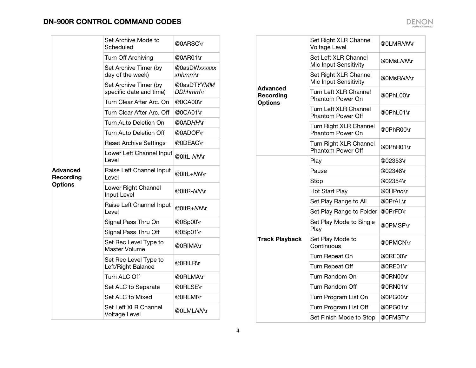|                              | Set Archive Mode to<br>Scheduled                 | @0ARSC\r                        |
|------------------------------|--------------------------------------------------|---------------------------------|
|                              | Turn Off Archiving                               | @0AR01\r                        |
|                              | Set Archive Timer (by<br>day of the week)        | @0asDWxxxxxx<br><i>xhhmm</i> \r |
|                              | Set Archive Timer (by<br>specific date and time) | @0asDTYYMM<br>DDhhmm\r          |
|                              | Turn Clear After Arc, On                         | @0CA00\r                        |
|                              | Turn Clear After Arc. Off                        | @0CA01\r                        |
|                              | Turn Auto Deletion On                            | @0ADHH\r                        |
|                              | Turn Auto Deletion Off                           | @0ADOF\r                        |
|                              | <b>Reset Archive Settings</b>                    | @0DEAC\r                        |
|                              | Lower Left Channel Input<br>Level                | @0ltL-NN\r                      |
| Advanced<br><b>Recording</b> | Raise Left Channel Input<br>Level                | @0ltL+NMr                       |
| <b>Options</b>               | Lower Right Channel<br>Input Level               | @0ltR-MM\r                      |
|                              | Raise Left Channel Input<br>Level                | @0ltR+ <i>NN</i> \r             |
|                              | Signal Pass Thru On                              | @0Sp00\r                        |
|                              | Signal Pass Thru Off                             | @0Sp01\r                        |
|                              | Set Rec Level Type to<br><b>Master Volume</b>    | @0RIMA\r                        |
|                              | Set Rec Level Type to<br>Left/Right Balance      | @0RILR\r                        |
|                              | Turn ALC Off                                     | @0RLMA\r                        |
|                              | Set ALC to Separate                              | @0RLSE\r                        |
|                              | Set ALC to Mixed                                 | @0RLMI\r                        |
|                              | Set Left XLR Channel<br>Voltage Level            | @0LMLNN\r                       |

|                                         | Set Right XLR Channel<br><b>Voltage Level</b>      | @0LMRNM\r |
|-----------------------------------------|----------------------------------------------------|-----------|
|                                         | Set Left XLR Channel<br>Mic Input Sensitivity      | @0MsLNMY  |
|                                         | Set Right XLR Channel<br>Mic Input Sensitivity     | @0MsRMMr  |
| Advanced<br>Recording<br><b>Options</b> | Turn Left XLR Channel<br>Phantom Power On          | @0PhL00\r |
|                                         | Turn Left XLR Channel<br><b>Phantom Power Off</b>  | @0PhL01\r |
|                                         | Turn Right XLR Channel<br><b>Phantom Power On</b>  | @0PhR00\r |
|                                         | Turn Right XLR Channel<br><b>Phantom Power Off</b> | @0PhR01\r |
|                                         | Play                                               | @02353\r  |
|                                         | Pause                                              | @02348\r  |
|                                         | Stop                                               | @02354\r  |
|                                         | Hot Start Play                                     | @0HPnn\r  |
|                                         | Set Play Range to All                              | @0PrAL\r  |
|                                         | Set Play Range to Folder                           | @0PrFD\r  |
|                                         | Set Play Mode to Single<br>Play                    | @0PMSP\r  |
| <b>Track Playback</b>                   | Set Play Mode to<br>Continuous                     | @0PMCN\r  |
|                                         | Turn Repeat On                                     | @0RE00\r  |
|                                         | Turn Repeat Off                                    | @0RE01\r  |
|                                         | Turn Random On                                     | @0RN00\r  |
|                                         | Turn Random Off                                    | @0RN01\r  |
|                                         | Turn Program List On                               | @0PG00\r  |
|                                         | Turn Program List Off                              | @0PG01\r  |
|                                         | Set Finish Mode to Stop                            | @0FMST\r  |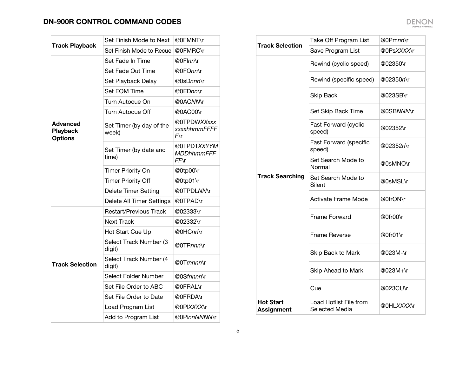| <b>Track Playback</b>                         | Set Finish Mode to Next           | @0FMNT\r                                  |
|-----------------------------------------------|-----------------------------------|-------------------------------------------|
|                                               | Set Finish Mode to Recue          | @0FMRC\r                                  |
|                                               | Set Fade In Time                  | @0Flnn\r                                  |
|                                               | Set Fade Out Time                 | @0FOnn\r                                  |
|                                               | Set Playback Delay                | @0sDnnn\r                                 |
|                                               | Set EOM Time                      | @0EDnn\r                                  |
|                                               | Turn Autocue On                   | @0ACNN\r                                  |
|                                               | <b>Turn Autocue Off</b>           | @0AC00\r                                  |
| Advanced<br><b>Playback</b><br><b>Options</b> | Set Timer (by day of the<br>week) | @0TPDWXXxxx<br>xxxxhhmmFFFFF<br>$F\Gamma$ |
|                                               | Set Timer (by date and<br>time)   | @0TPDTXXYYM<br>MDDhhmmFFF<br>$FF\Gamma$   |
|                                               | <b>Timer Priority On</b>          | @0tp00\r                                  |
|                                               | <b>Timer Priority Off</b>         | @0tp01\r                                  |
|                                               | <b>Delete Timer Setting</b>       | @0TPDLNN\r                                |
|                                               | Delete All Timer Settings         | @0TPAD\r                                  |
|                                               | <b>Restart/Previous Track</b>     | @02333\r                                  |
|                                               | <b>Next Track</b>                 | @02332\r                                  |
|                                               | Hot Start Cue Up                  | @0HCnn\r                                  |
| <b>Track Selection</b>                        | Select Track Number (3<br>digit)  | @0TRnnn\r                                 |
|                                               | Select Track Number (4<br>digit)  | @0Trnnnn\r                                |
|                                               | Select Folder Number              | @0Sfnnnn\r                                |
|                                               | Set File Order to ABC             | @0FRAL\r                                  |
|                                               | Set File Order to Date            | @0FRDA\r                                  |
|                                               | Load Program List                 | @0PIXXXX\r                                |
|                                               | Add to Program List               | @0PinnNNNNN\r                             |

| <b>Track Selection</b>                | Take Off Program List                    | @0Pmnn\r   |
|---------------------------------------|------------------------------------------|------------|
|                                       | Save Program List                        | @0PsXXXX\r |
|                                       | Rewind (cyclic speed)                    | @02350\r   |
|                                       | Rewind (specific speed)                  | @02350n\r  |
|                                       | <b>Skip Back</b>                         | @023SB\r   |
|                                       | Set Skip Back Time                       | @0SBNNM\r  |
|                                       | Fast Forward (cyclic<br>speed)           | @02352\r   |
|                                       | <b>Fast Forward (specific</b><br>speed)  | @02352n\r  |
|                                       | Set Search Mode to<br>Normal             | @0sMNO\r   |
| <b>Track Searching</b>                | Set Search Mode to<br>Silent             | @0sMSL\r   |
|                                       | <b>Activate Frame Mode</b>               | @0frON\r   |
|                                       | <b>Frame Forward</b>                     | @0fr00\r   |
|                                       | <b>Frame Reverse</b>                     | @0fr01\r   |
|                                       | Skip Back to Mark                        | @023M-\r   |
|                                       | Skip Ahead to Mark                       | @023M+\r   |
|                                       | Cue                                      | @023CU\r   |
| <b>Hot Start</b><br><b>Assignment</b> | Load Hotlist File from<br>Selected Media | @0HLXXXX\r |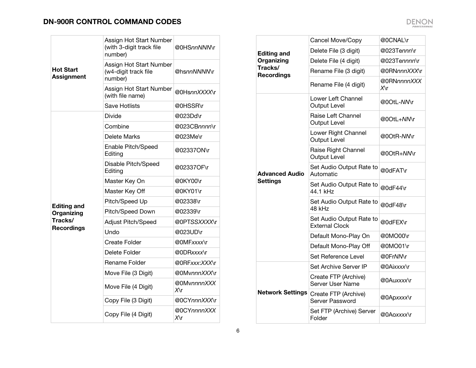| <b>Hot Start</b><br><b>Assignment</b> | Assign Hot Start Number<br>(with 3-digit track file<br>number) | @0HS <i>nnNNN</i> \r  |
|---------------------------------------|----------------------------------------------------------------|-----------------------|
|                                       | Assign Hot Start Number<br>(w4-digit track file<br>number)     | @hs <i>nnNNNN</i> \r  |
|                                       | Assign Hot Start Number<br>(with file name)                    | @0Hs <i>nnXXXX</i> \r |
|                                       | <b>Save Hotlists</b>                                           | @0HSSR\r              |
|                                       | Divide                                                         | @023Dd\r              |
|                                       | Combine                                                        | @023CBnnnn\r          |
|                                       | Delete Marks                                                   | @023Me\r              |
|                                       | Enable Pitch/Speed<br>Editing                                  | @02337ON\r            |
|                                       | Disable Pitch/Speed<br>Editing                                 | @02337OF\r            |
|                                       | Master Key On                                                  | @0KY00\r              |
|                                       | Master Key Off                                                 | @0KY01\r              |
| <b>Editing and</b>                    | Pitch/Speed Up                                                 | @02338\r              |
| Organizing                            | Pitch/Speed Down                                               | @02339\r              |
| Tracks/                               | <b>Adjust Pitch/Speed</b>                                      | @0PTSSXXXX\r          |
| <b>Recordings</b>                     | Undo                                                           | @023UD\r              |
|                                       | Create Folder                                                  | @0MF <i>xxxx</i> \r   |
|                                       | Delete Folder                                                  | @0DRxxxx\r            |
|                                       | Rename Folder                                                  | @0RFxxx:XXX\r         |
|                                       | Move File (3 Digit)                                            | @0MvnnnXXX\r          |
|                                       | Move File (4 Digit)                                            | @0MvnnnnXXX<br>X\r    |
|                                       | Copy File (3 Digit)                                            | @0CYnnnXXX\r          |
|                                       | Copy File (4 Digit)                                            | @0CYnnnnXXX<br>X\r    |

| <b>Editing and</b><br>Organizing | Cancel Move/Copy                                  | @0CNAL\r              |
|----------------------------------|---------------------------------------------------|-----------------------|
|                                  | Delete File (3 digit)                             | @023Te <i>nnn\</i> r  |
|                                  | Delete File (4 digit)                             | @023Tennnn\r          |
| Tracks/                          | Rename File (3 digit)                             | @0RN <i>nnnXXX</i> \r |
| <b>Recordings</b>                | Rename File (4 digit)                             | @0RNnnnnXXX<br>X∖r    |
|                                  | Lower Left Channel<br><b>Output Level</b>         | @0OtL- <i>NN</i> \r   |
|                                  | Raise Left Channel<br><b>Output Level</b>         | @0OtL+NM\r            |
|                                  | Lower Right Channel<br><b>Output Level</b>        | @0OtR-NMY             |
|                                  | Raise Right Channel<br><b>Output Level</b>        | @0OtR+ <i>NN</i> \r   |
| <b>Advanced Audio</b>            | Set Audio Output Rate to<br>Automatic             | @0dFAT\r              |
| <b>Settings</b>                  | Set Audio Output Rate to<br>44.1 kHz              | @0dF44\r              |
|                                  | Set Audio Output Rate to<br>48 kHz                | @0dF48\r              |
|                                  | Set Audio Output Rate to<br><b>External Clock</b> | @0dFEX\r              |
|                                  | Default Mono-Play On                              | @0MO00\r              |
|                                  | Default Mono-Play Off                             | @0MO01\r              |
|                                  | Set Reference Level                               | @0FrNN\r              |
|                                  | Set Archive Server IP                             | @0Aixxxx\r            |
| <b>Network Settings</b>          | Create FTP (Archive)<br><b>Server User Name</b>   | @0Auxxxx\r            |
|                                  | Create FTP (Archive)<br>Server Password           | @0Apxxxx\r            |
|                                  | Set FTP (Archive) Server<br>Folder                | @0Aoxxxx\r            |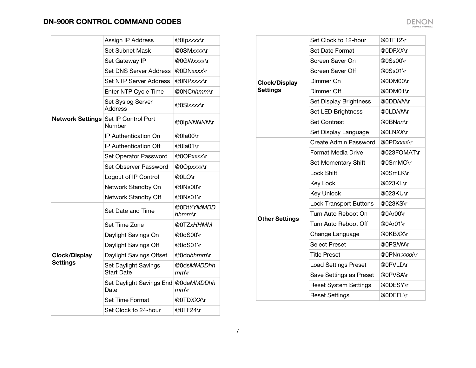|                      | Assign IP Address                              | @0lpxxxx\r                         |
|----------------------|------------------------------------------------|------------------------------------|
|                      | <b>Set Subnet Mask</b>                         | @0SMxxxx\r                         |
|                      | Set Gateway IP                                 | @0GWxxxx\r                         |
|                      | <b>Set DNS Server Address</b>                  | @0DNxxxx\r                         |
|                      | <b>Set NTP Server Address</b>                  | @0NPxxxx\r                         |
|                      | Enter NTP Cycle Time                           | @0NChhmm\r                         |
|                      | Set Syslog Server<br><b>Address</b>            | @0Slxxxx\r                         |
|                      | Network Settings Set IP Control Port<br>Number | @0lpNNNNNNr                        |
|                      | IP Authentication On                           | @0la00\r                           |
|                      | <b>IP Authentication Off</b>                   | @0la01\r                           |
|                      | Set Operator Password                          | @0OPxxxx\r                         |
|                      | Set Observer Password                          | @0Opxxxx\r                         |
|                      | Logout of IP Control                           | @0LO\r                             |
|                      | Network Standby On                             | @0Ns00\r                           |
|                      | Network Standby Off                            | @0Ns01\r                           |
|                      | Set Date and Time                              | @0DtYYMMDD<br>$h$ hmm $\mathbf{r}$ |
|                      | Set Time Zone                                  | @0TZxHHMM                          |
|                      | Daylight Savings On                            | @0dS00\r                           |
|                      | Daylight Savings Off                           | @0dS01\r                           |
| <b>Clock/Display</b> | Daylight Savings Offset                        | @0dohhmm\r                         |
| <b>Settings</b>      | Set Daylight Savings<br><b>Start Date</b>      | @0dsMMDDhh<br>$mm\backslash r$     |
|                      | Set Daylight Savings End<br>Date               | @0deMMDDhh<br>$mm\$ r              |
|                      | Set Time Format                                | @0TDXXX\r                          |
|                      | Set Clock to 24-hour                           | @0TF24\r                           |

| <b>Clock/Display</b>  | Set Clock to 12-hour          | @0TF12\r     |
|-----------------------|-------------------------------|--------------|
|                       | Set Date Format               | @0DFXX\r     |
|                       | Screen Saver On               | @0Ss00\r     |
|                       | <b>Screen Saver Off</b>       | @0Ss01\r     |
|                       | Dimmer On                     | @0DM00\r     |
| <b>Settings</b>       | Dimmer Off                    | @0DM01\r     |
|                       | Set Display Brightness        | @0DDN/Vr     |
|                       | Set LED Brightness            | @0LDNN\r     |
|                       | <b>Set Contrast</b>           | @0BNnn\r     |
|                       | Set Display Language          | @0LNXX\r     |
|                       | <b>Create Admin Password</b>  | @0PDxxxx\r   |
|                       | Format Media Drive            | @023FOMAT\r  |
|                       | Set Momentary Shift           | @0SmMO\r     |
|                       | Lock Shift                    | @0SmLK\r     |
|                       | Key Lock                      | @023KL\r     |
|                       | <b>Key Unlock</b>             | @023KU\r     |
|                       | <b>Lock Transport Buttons</b> | @023KS\r     |
| <b>Other Settings</b> | Turn Auto Reboot On           | @0Ar00\r     |
|                       | Turn Auto Reboot Off          | @0Ar01\r     |
|                       | Change Language               | @0KBXX\r     |
|                       | <b>Select Preset</b>          | @0PSNM\r     |
|                       | <b>Title Preset</b>           | @0PNn:xxxx\r |
|                       | <b>Load Settings Preset</b>   | @0PVLD\r     |
|                       | Save Settings as Preset       | @0PVSA\r     |
|                       | <b>Reset System Settings</b>  | @0DESY\r     |
|                       | <b>Reset Settings</b>         | @0DEFL\r     |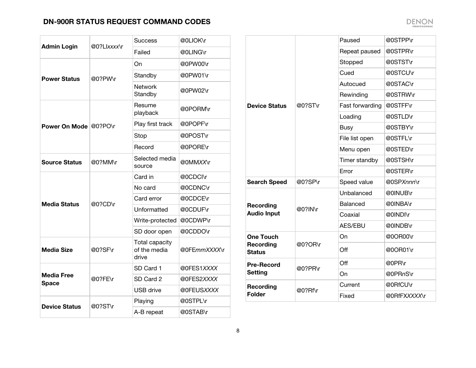| <b>Admin Login</b>                | @0?Llxxxx\r | Success                                        | @0LIOK\r     |
|-----------------------------------|-------------|------------------------------------------------|--------------|
|                                   |             | Failed                                         | @0LING\r     |
|                                   |             | On                                             | @0PW00\r     |
| <b>Power Status</b>               | @0?PW\r     | Standby                                        | @0PW01\r     |
|                                   |             | <b>Network</b><br>Standby                      | @0PW02\r     |
|                                   |             | Resume<br>playback                             | @0PORM\r     |
| Power On Mode @0?PO\r             |             | Play first track                               | @0POPF\r     |
|                                   |             | Stop                                           | @0POST\r     |
|                                   |             | Record                                         | @0PORE\r     |
| <b>Source Status</b>              | @0?MM\r     | Selected media<br>source                       | @0MMXX\r     |
|                                   | @0?CD\r     | Card in                                        | @0CDCI\r     |
|                                   |             | No card                                        | @0CDNC\r     |
| <b>Media Status</b>               |             | Card error                                     | @0CDCE\r     |
|                                   |             | Unformatted                                    | @0CDUF\r     |
|                                   |             | Write-protected                                | @0CDWP\r     |
|                                   |             | SD door open                                   | @0CDDO\r     |
| <b>Media Size</b>                 | @0?SF\r     | <b>Total capacity</b><br>of the media<br>drive | @0FEmmXXXX\r |
|                                   |             | SD Card 1                                      | @0FES1XXXX   |
| <b>Media Free</b><br><b>Space</b> | @0?FE\r     | SD Card 2                                      | @0FES2XXXX   |
|                                   |             | <b>USB</b> drive                               | @0FEUSXXXX   |
|                                   |             | Playing                                        | @0STPL\r     |
| <b>Device Status</b>              | @0?ST\r     | A-B repeat                                     | @0STAB\r     |

|                            |         | Paused          | @0STPP\r     |
|----------------------------|---------|-----------------|--------------|
|                            |         | Repeat paused   | @0STPR\r     |
|                            |         | Stopped         | @0STST\r     |
|                            |         | Cued            | @0STCU\r     |
|                            |         | Autocued        | @0STAC\r     |
|                            |         | Rewinding       | @0STRW\r     |
| <b>Device Status</b>       | @0?ST\r | Fast forwarding | @0STFF\r     |
|                            |         | Loading         | @0STLD\r     |
|                            |         | <b>Busy</b>     | @0STBY\r     |
|                            |         | File list open  | @0STFL\r     |
|                            |         | Menu open       | @0STED\r     |
|                            |         | Timer standby   | @0STSH\r     |
|                            |         | Error           | @0STER\r     |
| <b>Search Speed</b>        | @0?SP\r | Speed value     | @0SPXnnn\r   |
|                            | @0?IN\r | Unbalanced      | @0INUB\r     |
| Recording                  |         | Balanced        | @0INBA\r     |
| <b>Audio Input</b>         |         | Coaxial         | @0INDI\r     |
|                            |         | <b>AES/EBU</b>  | @0INDB\r     |
| <b>One Touch</b>           |         | On              | @0OR00\r     |
| Recording<br><b>Status</b> | @0?OR\r | Off             | @0OR01\r     |
| <b>Pre-Record</b>          | @0?PR\r | Off             | @0PR\r       |
| <b>Setting</b>             |         | On              | @0PRnS\r     |
| Recording                  |         | Current         | @0RfCU\r     |
| <b>Folder</b>              | @0?Rf\r | Fixed           | @0RfFXXXXX\r |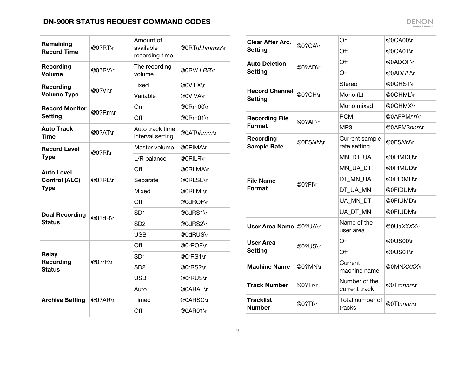| Remaining<br><b>Record Time</b> | @0?RT\r    | Amount of<br>available<br>recording time | @0RThhhmmss\r |
|---------------------------------|------------|------------------------------------------|---------------|
| <b>Recording</b><br>Volume      | @0?RV\r    | The recording<br>volume                  | @0RVLLRR\r    |
| Recording                       | @0?VI\r    | Fixed                                    | @0VIFX\r      |
| <b>Volume Type</b>              |            | Variable                                 | @0VIVA\r      |
| <b>Record Monitor</b>           | $@0?$ Rm\r | On                                       | @0Rm00\r      |
| <b>Setting</b>                  |            | Off                                      | @0Rm01\r      |
| <b>Auto Track</b><br>Time       | @0?AT\r    | Auto track time<br>interval setting      | @0AThhmm\r    |
| <b>Record Level</b>             | @0?RI\r    | Master volume                            | @0RIMA\r      |
| <b>Type</b>                     |            | L/R balance                              | @0RILR\r      |
| <b>Auto Level</b>               | @0?RL\r    | Off                                      | @0RLMA\r      |
| <b>Control (ALC)</b>            |            | Separate                                 | @0RLSE\r      |
| <b>Type</b>                     |            | Mixed                                    | @0RLMI\r      |
|                                 |            | Off                                      | @0dROF\r      |
| <b>Dual Recording</b>           |            | SD1                                      | @0dRS1\r      |
| <b>Status</b>                   | @0?dR\r    | SD <sub>2</sub>                          | @0dRS2\r      |
|                                 |            | <b>USB</b>                               | @0dRUS\r      |
|                                 |            | Off                                      | @0rROF\r      |
| Relay<br>Recording              | @0?rR\r    | SD1                                      | @0rRS1\r      |
| <b>Status</b>                   |            | SD <sub>2</sub>                          | @0rRS2\r      |
|                                 |            | <b>USB</b>                               | @0rRUS\r      |
|                                 |            | Auto                                     | @0ARAT\r      |
| <b>Archive Setting</b>          | @0?AR\r    | Timed                                    | @0ARSC\r      |
|                                 |            | Off                                      | @0AR01\r      |

| <b>Clear After Arc.</b>                 | @0?CA\r    | On                             | @0CA00\r    |
|-----------------------------------------|------------|--------------------------------|-------------|
| <b>Setting</b>                          |            | Off                            | @0CA01\r    |
| <b>Auto Deletion</b>                    | @0?AD\r    | Off                            | @0ADOF\r    |
| <b>Setting</b>                          |            | On                             | @0ADHH\r    |
|                                         |            | Stereo                         | @0CHST\r    |
| <b>Record Channel</b><br><b>Setting</b> | @0?CH\r    | Mono (L)                       | @0CHML\r    |
|                                         |            | Mono mixed                     | @0CHMX\r    |
| <b>Recording File</b>                   | @0?AF\r    | <b>PCM</b>                     | @0AFPMnn\r  |
| Format                                  |            | MP <sub>3</sub>                | @0AFM3nnn\r |
| Recording<br><b>Sample Rate</b>         | @0FSNM\r   | Current sample<br>rate setting | @0FSNMr     |
|                                         |            | MN_DT_UA                       | @0FfMDU\r   |
|                                         | @0?Ff\r    | MN UA DT                       | @0FfMUD\r   |
| File Name                               |            | DT MN UA                       | @0FfDMU\r   |
| Format                                  |            | DT_UA_MN                       | @0FfDUM\r   |
|                                         |            | UA MN DT                       | @0FfUMD\r   |
|                                         |            | UA DT MN                       | @0FfUDM\r   |
| User Area Name @0?UA\r                  |            | Name of the<br>user area       | @0UaXXXX\r  |
| <b>User Area</b>                        | $@0?$ US\r | On                             | @0US00\r    |
| <b>Setting</b>                          |            | Off                            | @0US01\r    |
| <b>Machine Name</b>                     | @0?MN\r    | Current<br>machine name        | @0MNXXXX\r  |
| Track Number                            | $@0?$ Tr\r | Number of the<br>current track | @0Trnnnn\r  |
| Tracklist<br><b>Number</b>              | @0?Tt\r    | Total number of<br>tracks      | @0Ttnnnn\r  |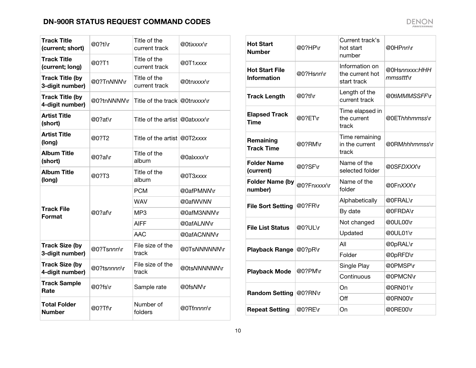| <b>Track Title</b><br>(current: short)    | @0?ti\r     | Title of the<br>current track  | @0tixxxx\r   |
|-------------------------------------------|-------------|--------------------------------|--------------|
| <b>Track Title</b><br>(current; long)     | @0?T1       | Title of the<br>current track  | @0T1xxxx     |
| <b>Track Title (by</b><br>3-digit number) | @0?TnNNNNr  | Title of the<br>current track  | @0tnxxxx\r   |
| <b>Track Title (by</b><br>4-digit number) | @0?tnNNNM\r | Title of the track @0tnxxxx\r  |              |
| <b>Artist Title</b><br>(short)            | @0?at\r     | Title of the artist @0atxxxx\r |              |
| Artist Title<br>(long)                    | @0?T2       | Title of the artist @0T2xxxx   |              |
| <b>Album Title</b><br>(short)             | @0?al\r     | Title of the<br>album          | @0alxxxx\r   |
| <b>Album Title</b><br>(long)              | @0?T3       | Title of the<br>album          | @0T3xxxx     |
|                                           | @0?af\r     | PCM                            | @0afPMNM\r   |
|                                           |             | WAV                            | @0afWVNN     |
| Track File<br>Format                      |             | MP3                            | @0afM3NNN\r  |
|                                           |             | AIFF                           | @0afALNM\r   |
|                                           |             | AAC                            | @0afACNNM\r  |
| <b>Track Size (by</b><br>3-digit number)  | @0?Tsnnn\r  | File size of the<br>track      | @0TsNNNNNNNr |
| <b>Track Size (by</b><br>4-digit number)  | @0?tsnnnn\r | File size of the<br>track      | @0tsNNNNNNNr |
| <b>Track Sample</b><br>Rate               | @0?fs\r     | Sample rate                    | @0fsNM\r     |
| <b>Total Folder</b><br><b>Number</b>      | @0?Tf\r     | Number of<br>folders           | @0Tfnnnn\r   |

| <b>Hot Start</b><br><b>Number</b>           | @0?HP\r     | Current track's<br>hot start<br>number           | @0HPnn\r                      |
|---------------------------------------------|-------------|--------------------------------------------------|-------------------------------|
| <b>Hot Start File</b><br><b>Information</b> | @0?Hsnn\r   | Information on<br>the current hot<br>start track | @0Hsnnxxx:HHH<br>$mmssttt\$ r |
| <b>Track Length</b>                         | @0?tl\r     | Length of the<br>current track                   | @0tlMMMSSFF\r                 |
| <b>Elapsed Track</b><br>Time                | @0?ET\r     | Time elapsed in<br>the current<br>track          | @0EThhhmmss\r                 |
| Remaining<br><b>Track Time</b>              | @0?RM\r     | Time remaining<br>in the current<br>track        | @0RM <i>hhhmmss</i> \r        |
| <b>Folder Name</b><br>(current)             | @0?SF\r     | Name of the<br>selected folder                   | @0SFDXXX\r                    |
| <b>Folder Name (by</b><br>number)           | @0?Fnxxxx\r | Name of the<br>folder                            | @0FnXXX\r                     |
| <b>File Sort Setting</b>                    | @0?FR\r     | Alphabetically                                   | @0FRAL\r                      |
|                                             |             | By date                                          | @0FRDA\r                      |
| <b>File List Status</b>                     | @0?UL\r     | Not changed                                      | @0UL00\r                      |
|                                             |             | Updated                                          | @0UL01\r                      |
| <b>Playback Range</b>                       | @0?pR\r     | All                                              | @0pRAL\r                      |
|                                             |             | Folder                                           | @0pRFD\r                      |
| <b>Playback Mode</b>                        | @0?PM\r     | Single Play                                      | @0PMSP\r                      |
|                                             |             | Continuous                                       | @0PMCN\r                      |
| <b>Random Setting</b>                       | @0?RN\r     | On                                               | @0RN01\r                      |
|                                             |             | Off                                              | @0RN00\r                      |
| <b>Repeat Setting</b>                       | @0?RE\r     | On                                               | @0RE00\r                      |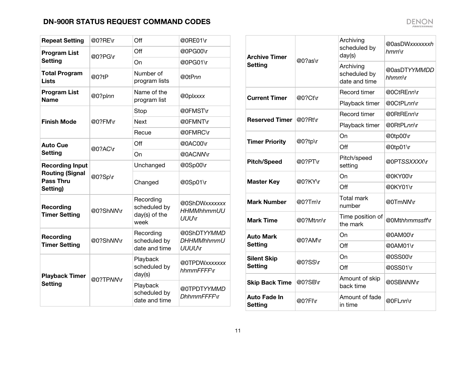| <b>Repeat Setting</b>                                  | @0?RE\r   | Off                                                | @0RE01\r                                            |
|--------------------------------------------------------|-----------|----------------------------------------------------|-----------------------------------------------------|
| <b>Program List</b>                                    | @0?PG\r   | Off                                                | @0PG00\r                                            |
| <b>Setting</b>                                         |           | On                                                 | @0PG01\r                                            |
| <b>Total Program</b><br><b>Lists</b>                   | @0?tP     | Number of<br>program lists                         | @0tPnn                                              |
| <b>Program List</b><br><b>Name</b>                     | @0?plnn   | Name of the<br>program list                        | @Oplxxxx                                            |
|                                                        |           | Stop                                               | @0FMST\r                                            |
| <b>Finish Mode</b>                                     | @0?FM\r   | <b>Next</b>                                        | @0FMNT\r                                            |
|                                                        |           | Recue                                              | @0FMRC\r                                            |
| <b>Auto Cue</b>                                        | @0?AC\r   | Off                                                | @0AC00\r                                            |
| <b>Setting</b>                                         |           | On                                                 | @0ACNN\r                                            |
| <b>Recording Input</b>                                 | @0?Sp\r   | Unchanged                                          | @0Sp00\r                                            |
| <b>Routing (Signal</b><br><b>Pass Thru</b><br>Setting) |           | Changed                                            | @0Sp01\r                                            |
| Recording<br><b>Timer Setting</b>                      | @0?ShNMY  | Recording<br>scheduled by<br>day(s) of the<br>week | @0ShDWxxxxxxx<br><b>HHMMhhmmUU</b><br><b>UUU</b> \r |
| Recording<br><b>Timer Setting</b>                      | @0?ShNM\r | Recording<br>scheduled by<br>date and time         | @0ShDTYYMMD<br><b>DHHMMhhmmU</b><br><b>UUUU</b> \r  |
| <b>Playback Timer</b><br><b>Setting</b>                |           | Playback<br>scheduled by<br>day(s)                 | @0TPDWxxxxxxx<br>hhmmFFFFF\r                        |
|                                                        | @0?TPN/Vr | Playback<br>scheduled by<br>date and time          | @0TPDTYYMMD<br>DhhmmFFFFNr                          |

| <b>Archive Timer</b>                  | @0?as\r    | Archiving<br>scheduled by<br>day(s)        | @0asDWxxxxxxxh<br>$hmm\$ r |
|---------------------------------------|------------|--------------------------------------------|----------------------------|
| <b>Setting</b>                        |            | Archiving<br>scheduled by<br>date and time | @0asDTYYMMDD<br>hhmm\r     |
| <b>Current Timer</b>                  | @0?Ct\r    | Record timer                               | @0CtREnn\r                 |
|                                       |            | Playback timer                             | @0CtPLnn\r                 |
| <b>Reserved Timer</b>                 | $@0?$ Rt\r | Record timer                               | @0RtREnn\r                 |
|                                       |            | Playback timer                             | @0RtPLnn\r                 |
| <b>Timer Priority</b>                 | @0?tp\r    | On                                         | @0tp00\r                   |
|                                       |            | Off                                        | @0tp01\r                   |
| <b>Pitch/Speed</b>                    | @0?PT\r    | Pitch/speed<br>setting                     | @0PTSSXXXX\r               |
| <b>Master Key</b>                     | @0?KY\r    | On                                         | @0KY00\r                   |
|                                       |            | Off                                        | @0KY01\r                   |
| <b>Mark Number</b>                    | $@0?Tm\$ r | <b>Total mark</b><br>number                | @0TmNM\r                   |
| <b>Mark Time</b>                      | @0?Mtnn\r  | Time position of<br>the mark               | @0Mthhmmssff\r             |
| <b>Auto Mark</b>                      | @0?AM\r    | On                                         | @0AM00\r                   |
| <b>Setting</b>                        |            | Off                                        | @0AM01\r                   |
| <b>Silent Skip</b>                    | @0?SS\r    | On                                         | @0SS00\r                   |
| <b>Setting</b>                        |            | Off                                        | @0SS01\r                   |
| <b>Skip Back Time</b>                 | @0?SB\r    | Amount of skip<br>back time                | @0SBNNM\r                  |
| <b>Auto Fade In</b><br><b>Setting</b> | @0?FI\r    | Amount of fade<br>in time                  | @0FLnn\r                   |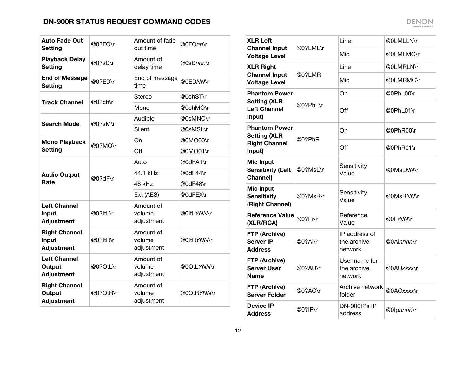| <b>Auto Fade Out</b><br><b>Setting</b>              | @0?FO\r  | Amount of fade<br>out time        | @0FOnn\r   |
|-----------------------------------------------------|----------|-----------------------------------|------------|
| <b>Playback Delay</b><br><b>Setting</b>             | @0?sD\r  | Amount of<br>delay time           | @0sDnnn\r  |
| <b>End of Message</b><br><b>Setting</b>             | @0?ED\r  | End of message<br>time            | @0EDNMr    |
| <b>Track Channel</b>                                | @0?ch\r  | Stereo                            | @0chST\r   |
|                                                     |          | Mono                              | @0chMO\r   |
| <b>Search Mode</b>                                  | @0?sM\r  | Audible                           | @0sMNO\r   |
|                                                     |          | Silent                            | @0sMSL\r   |
| <b>Mono Playback</b>                                | @0?MO\r  | On                                | @0MO00\r   |
| <b>Setting</b>                                      |          | Off                               | @0MO01\r   |
|                                                     | @0?dF\r  | Auto                              | @0dFAT\r   |
| <b>Audio Output</b>                                 |          | 44.1 kHz                          | @0dF44\r   |
| Rate                                                |          | 48 kHz                            | @0dF48\r   |
|                                                     |          | Ext (AES)                         | @0dFEX\r   |
| <b>Left Channel</b><br>Input<br><b>Adjustment</b>   | @0?ItL\r | Amount of<br>volume<br>adjustment | @0ltLYNMr  |
| <b>Right Channel</b><br>Input<br><b>Adjustment</b>  | @0?ItR\r | Amount of<br>volume<br>adjustment | @0ltRYNN\r |
| <b>Left Channel</b><br>Output<br><b>Adjustment</b>  | @0?OtL\r | Amount of<br>volume<br>adjustment | @0OtLYNN\r |
| <b>Right Channel</b><br>Output<br><b>Adjustment</b> | @0?OtR\r | Amount of<br>volume<br>adjustment | @0OtRYNN\r |

| <b>XLR Left</b>                                           |          | Line                                    | @0LMLLN\r          |
|-----------------------------------------------------------|----------|-----------------------------------------|--------------------|
| <b>Channel Input</b><br><b>Voltage Level</b>              | @0?LML\r | Mic                                     | @0LMLMC\r          |
| <b>XLR Right</b>                                          |          | Line                                    | @0LMRLN\r          |
| <b>Channel Input</b><br><b>Voltage Level</b>              | @0?LMR   | Mic                                     | @0LMRMC\r          |
| <b>Phantom Power</b>                                      |          | On                                      | @0PhL00\r          |
| <b>Setting (XLR</b><br><b>Left Channel</b><br>Input)      | @0?PhL\r | Off                                     | @0PhL01\r          |
| <b>Phantom Power</b><br><b>Setting (XLR</b>               | @0?PhR   | On                                      | @0PhR00\r          |
| <b>Right Channel</b><br>Input)                            |          | Off                                     | @0PhR01\r          |
| <b>Mic Input</b><br><b>Sensitivity (Left</b><br>Channel)  | @0?MsL\r | Sensitivity<br>Value                    | @0MsL <i>NI</i> Nr |
| <b>Mic Input</b><br><b>Sensitivity</b><br>(Right Channel) | @0?MsR\r | Sensitivity<br>Value                    | @0MsRMMr           |
| <b>Reference Value</b><br>(XLR/RCA)                       | @0?Fr\r  | Reference<br>Value                      | @0FrNMr            |
| FTP (Archive)<br><b>Server IP</b><br><b>Address</b>       | @0?Al\r  | IP address of<br>the archive<br>network | @0Ainnnn\r         |
| FTP (Archive)<br><b>Server User</b><br><b>Name</b>        | @0?AU\r  | User name for<br>the archive<br>network | @0AUxxxx\r         |
| FTP (Archive)<br><b>Server Folder</b>                     | @0?AO\r  | Archive network<br>folder               | @0AOxxxx\r         |
| <b>Device IP</b><br><b>Address</b>                        | @0?IP\r  | DN-900R's IP<br>address                 | @0lpnnnn\r         |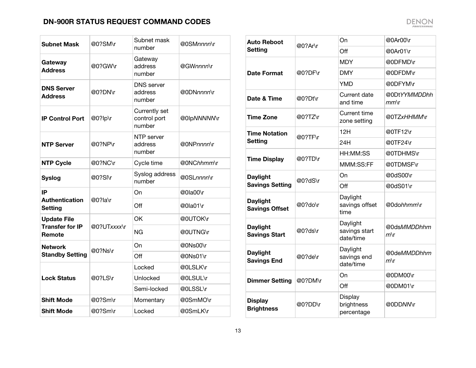| <b>Subnet Mask</b>                      | @0?SM\r     | Subnet mask<br>number                   | @0SMnnnn\r  |
|-----------------------------------------|-------------|-----------------------------------------|-------------|
| Gateway<br><b>Address</b>               | @0?GW\r     | Gateway<br>address<br>number            | @GWnnnn\r   |
| <b>DNS Server</b><br><b>Address</b>     | @0?DN\r     | <b>DNS</b> server<br>address<br>number  | @0DNnnnn\r  |
| <b>IP Control Port</b>                  | @0?lp\r     | Currently set<br>control port<br>number | @0lpNNNNN\r |
| <b>NTP Server</b>                       | @0?NP\r     | NTP server<br>address<br>number         | @0NPnnnn\r  |
| <b>NTP Cycle</b>                        | @0?NC\r     | Cycle time                              | @0NChhmm\r  |
| <b>Syslog</b>                           | @0?SI\r     | Syslog address<br>number                | @0SLnnnn\r  |
| IP                                      |             | On                                      | @0la00\r    |
| <b>Authentication</b><br><b>Setting</b> | @0?la\r     | Off                                     | @0la01\r    |
| <b>Update File</b>                      |             | OK                                      | @0UTOK\r    |
| <b>Transfer for IP</b><br>Remote        | @0?UTxxxx\r | <b>NG</b>                               | @0UTNG\r    |
| <b>Network</b>                          | @0?Ns\r     | On                                      | @0Ns00\r    |
| <b>Standby Setting</b>                  |             | Off                                     | @0Ns01\r    |
|                                         |             | Locked                                  | @0LSLK\r    |
| <b>Lock Status</b>                      | @0?LS\r     | Unlocked                                | @0LSUL\r    |
|                                         |             | Semi-locked                             | @0LSSL\r    |
| <b>Shift Mode</b>                       | @0?Sm\r     | Momentary                               | @0SmMO\r    |
| <b>Shift Mode</b>                       | @0?Sm\r     | Locked                                  | @0SmLK\r    |

| <b>Auto Reboot</b>                       | @0?Ar\r | On                                     | @0Ar00\r                         |
|------------------------------------------|---------|----------------------------------------|----------------------------------|
| <b>Setting</b>                           |         | Off                                    | @0Ar01\r                         |
|                                          |         | <b>MDY</b>                             | @0DFMD\r                         |
| Date Format                              | @0?DF\r | <b>DMY</b>                             | @0DFDM\r                         |
|                                          |         | <b>YMD</b>                             | @0DFYM\r                         |
| Date & Time                              | @0?Dt\r | Current date<br>and time               | @0DtYYMMDDhh<br>$mm\backslash r$ |
| <b>Time Zone</b>                         | @0?TZ\r | <b>Current time</b><br>zone setting    | @0TZxHHMM\r                      |
| <b>Time Notation</b>                     | @0?TF\r | 12H                                    | @0TF12\r                         |
| <b>Setting</b>                           |         | 24H                                    | @0TF24\r                         |
| <b>Time Display</b>                      | @0?TD\r | HH:MM:SS                               | @0TDHMS\r                        |
|                                          |         | MMM:SS:FF                              | @0TDMSF\r                        |
| <b>Daylight</b>                          | @0?dS\r | On                                     | @0dS00\r                         |
| <b>Savings Setting</b>                   |         | Off                                    | @0dS01\r                         |
| <b>Daylight</b><br><b>Savings Offset</b> | @0?do\r | Daylight<br>savings offset<br>time     | @0dohhmm\r                       |
| <b>Daylight</b><br><b>Savings Start</b>  | @0?ds\r | Daylight<br>savings start<br>date/time | @0dsMMDDhhm<br>$m\$ r            |
| <b>Daylight</b><br><b>Savings End</b>    | @0?de\r | Daylight<br>savings end<br>date/time   | @0deMMDDhhm<br>$m\$ r            |
| <b>Dimmer Setting</b>                    | @0?DM\r | On                                     | @0DM00\r                         |
|                                          |         | Off                                    | @0DM01\r                         |
| <b>Display</b><br><b>Brightness</b>      | @0?DD\r | Display<br>brightness<br>percentage    | @0DDNN\r                         |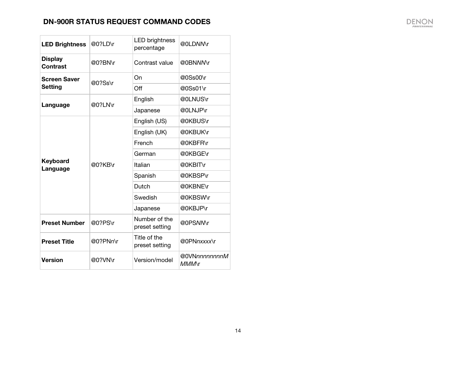$\overline{\phantom{a}}$ 

| <b>LED Brightness</b>             | @0?LD\r  | <b>LED brightness</b><br>percentage | @0LDNMr                |
|-----------------------------------|----------|-------------------------------------|------------------------|
| <b>Display</b><br><b>Contrast</b> | @0?BN\r  | Contrast value                      | @0BNNM\r               |
| <b>Screen Saver</b><br>Setting    | @0?Ss\r  | On                                  | @0Ss00\r               |
|                                   |          | Off                                 | @0Ss01\r               |
| Language                          | @0?LN\r  | English                             | @0LNUS\r               |
|                                   |          | Japanese                            | @0LNJP\r               |
| Keyboard<br>Language              | @0?KB\r  | English (US)                        | @0KBUS\r               |
|                                   |          | English (UK)                        | @0KBUK\r               |
|                                   |          | French                              | @0KBFR\r               |
|                                   |          | German                              | @0KBGE\r               |
|                                   |          | Italian                             | @0KBIT\r               |
|                                   |          | Spanish                             | @0KBSP\r               |
|                                   |          | Dutch                               | @0KBNE\r               |
|                                   |          | Swedish                             | @0KBSW\r               |
|                                   |          | Japanese                            | @0KBJP\r               |
| <b>Preset Number</b>              | @0?PS\r  | Number of the<br>preset setting     | @0PSNM\r               |
| <b>Preset Title</b>               | @0?PNn\r | Title of the<br>preset setting      | @0PNnxxxx\r            |
| <b>Version</b>                    | @0?VN\r  | Version/model                       | @0VNnnnnnnnnM<br>MMM\r |

 $\sim$   $\sim$   $\sim$